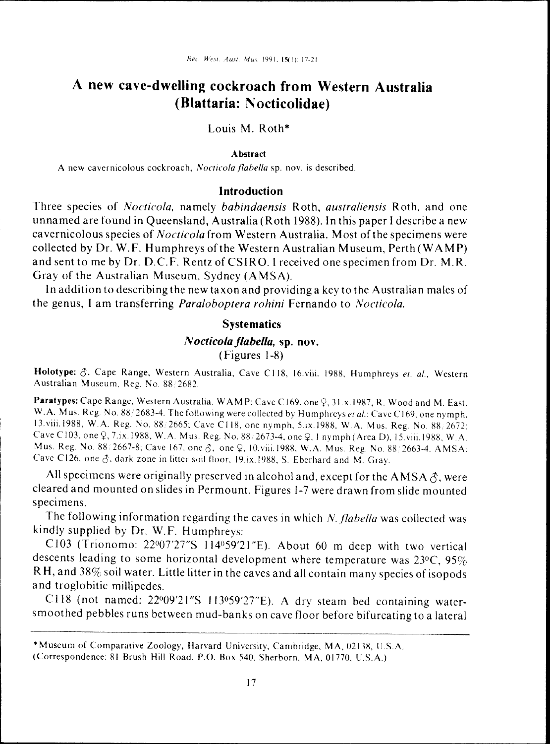# **A new cave-dwelling cockroach from Western Australia (Blattaria: Nocticolidae)**

Louis M. Roth\*

#### **Abstract**

A new cavernicolous cockroach, *Nocticola flabella* sp. nov. is described.

#### **Introduction**

Three species of *Nocticola.* namely *babindaensis* Roth, *australiensis* Roth, and one unnamed are found in Queensland, Australia (Roth 1988). In this paper I describe a new cavernicolous species of *Nocticola* from Western Australia. Most of the specimens were collected by Or. W. F. Humphreys of the Western Australian Museum, Perth (W A M P) and sent to me by Dr. D.C.F. Rentz of CSIRO. I received one specimen from Dr. M.R. Gray of the Australian Museum, Sydney (AMSA).

In addition to describing the new taxon and providing a key to the Australian males of the genus, I am transferring *Paraloboptera rohini* Fernando to *Nocticola.*

### **Systematics**

#### N *octicola flabella,* sp. **nov.**

#### (Figures 1-8)

Holotype: 0, Cape Range. Western Australia, Cave C118, 16.viii. 1988. Humphreys *et. aI.,* Western Australian Museum. Reg. No. 88·2682.

Paratypes: Cape Range, Western Australia. WAMP: Cave C169, one Q, 31.x.1987, R. Wood and M. East, W.A. Mus. Reg. No. 88/2683-4. The following were collected by Humphreys *et al.*: Cave C169, one nymph, 13. viii.1988. W. A. Reg. No. 88 2665: Cave C 118. one nymph. 5.ix.1988. W. A. Mus. Reg. No. 88 2672: Cave C103, one Q, 7.ix.1988, W.A. Mus. Reg. No. 88/2673-4, one Q, 1 nymph (Area D), 15. viii.1988, W.A. Mus. Reg. No. 88/2667-8; Cave 167, one  $\delta$ , one  $\gamma$ , 10.viii.1988, W.A. Mus. Reg. No. 88/2663-4. AMSA: Cave C126, one  $\delta$ , dark zone in litter soil floor, 19.ix.1988, S. Eberhard and M. Gray.

All specimens were originally preserved in alcohol and, except for the AMSA  $\hat{\sigma}$ , were cleared and mounted on slides in Permount. Figures 1-7 were drawn from slide mounted specimens.

The following information regarding the caves in which *N. flabella* was collected was kindly supplied by Or. W.F. Humphreys:

C103 (Trionomo:  $22^{\circ}07'27''S$  114°59'21"E). About 60 m deep with two vertical descents leading to some horizontal development where temperature was  $23\degree C$ ,  $95\%$ RH, and 38% soil water. Little litter in the caves and all contain many species of isopods and troglobitic millipedes.

C118 (not named: 22°09'21"S 113°59'27"E). A dry steam bed containing watersmoothed pebbles runs between mud-banks on cave floor before bifurcating to a lateral

<sup>\*</sup>Museum of Comparative Zoology, Harvard University, Cambridge, MA, 02138, U.S.A.

<sup>(</sup>Correspondence: 81 Brush Hill Road. P.O. Box 540. Sherborn. MA. 01770. USA.)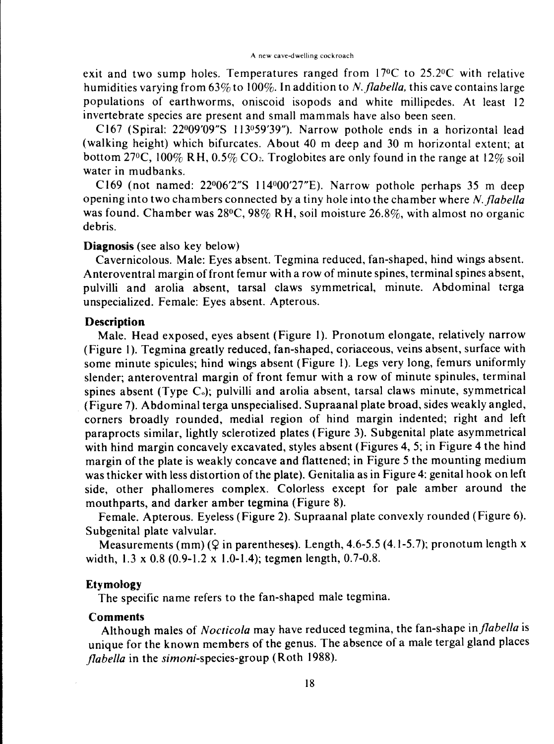exit and two sump holes. Temperatures ranged from 17°C to 25.2°C with relative humidities varying from 63% to 100%. In addition to *N. flabella*, this cave contains large populations of earthworms, oniscoid isopods and white millipedes. At least 12 invertebrate species are present and small mammals have also been seen.

C167 (Spiral: 22°09'09"S 113°59'39"). Narrow pothole ends in a horizontal lead (walking height) which bifurcates. About 40 m deep and 30 m horizontal extent; at bottom 27°C, 100% RH, 0.5% CO<sub>2</sub>. Troglobites are only found in the range at 12% soil water in mudbanks.

C169 (not named:  $22^{\circ}06'2''S$  114 $^{\circ}00'27''E$ ). Narrow pothole perhaps 35 m deep opening into two chambers connected by a tiny hole into the chamber where *N. flabella* was found. Chamber was 28°C, 98% RH, soil moisture 26.8%, with almost no organic debris.

## **Diagnosis** (see also key below)

Cavernicolous. Male: Eyes absent. Tegmina reduced, fan-shaped, hind wings absent. Anteroventral margin of front femur with a row of minute spines, terminal spines absent, pulvilli and arolia absent, tarsal claws symmetrical, minute. Abdominal terga unspecialized. Female: Eyes absent. Apterous.

## **Description**

Male. Head exposed, eyes absent (Figure I). Pronotum elongate, relatively narrow (Figure I). Tegmina greatly reduced, fan-shaped, coriaceous, veins absent, surface with some minute spicules; hind wings absent (Figure I). Legs very long, femurs uniformly slender; anteroventral margin of front femur with a row of minute spinules, terminal spines absent (Type  $C_0$ ); pulvilli and arolia absent, tarsal claws minute, symmetrical (Figure 7). Abdominal terga unspecialised. Supraanal plate broad, sides weakly angled, corners broadly rounded, medial region of hind margin indented; right and left paraprocts similar, lightly sclerotized plates (Figure 3). Subgenital plate asymmetrical with hind margin concavely excavated, styles absent (Figures 4, 5; in Figure 4 the hind margin of the plate is weakly concave and flattened; in Figure 5 the mounting medium was thicker with less distortion of the plate). Genitalia as in Figure 4: genital hook on left side, other phallomeres complex. Coloriess except for pale amber around the mouthparts, and darker amber tegmina (Figure 8).

Female. Apterous. Eyeless (Figure 2). Supraanal plate convexly rounded (Figure 6). Subgenital plate valvular.

Measurements (mm) ( $\Omega$  in parentheses). Length, 4.6-5.5 (4.1-5.7); pronotum length x width, I.3 x 0.8 (0.9-1.2 x 1.0-1.4); tegmen length, 0.7-0.8.

## **Etymology**

The specific name refers to the fan-shaped male tegmina.

#### **Comments**

Although males of *Nocticola* may have reduced tegmina, the fan-shape *injlabella* is unique for the known members of the genus. The absence of a male tergal gland places *jlabella* in the *simoni-species-group* (Roth 1988).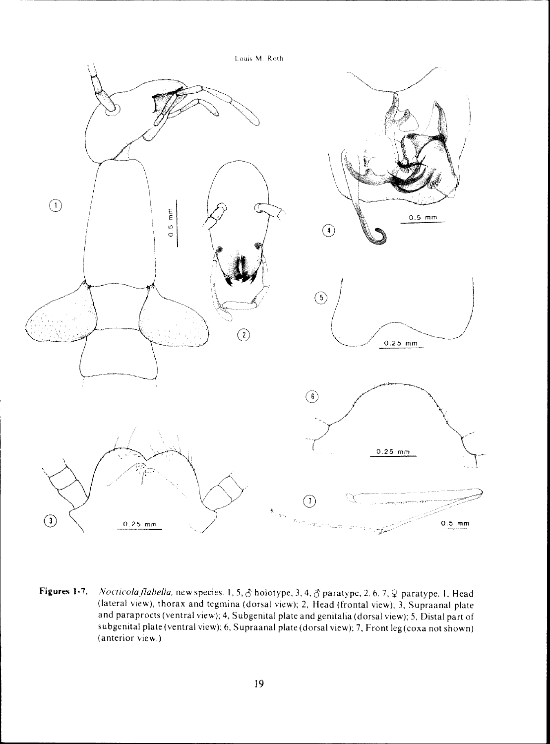

**Figures 1-7.** *Nocticolaflahella,* new species. 1.5.6 holotype. 3. 4. 6 paratype. 2. 6.7. ¥ paratype. I. Head (lateral view). thorax and tegmina (dorsal view); 2. Head (frontal view); 3. Supraanal plate and paraprocts (ventral view); 4. Subgenital plate and genitalia (dorsal view); 5. Distal part of subgenital plate (ventral view); 6, Supraanal plate (dorsal view); 7, Front leg (coxa not shown) (anterior view.)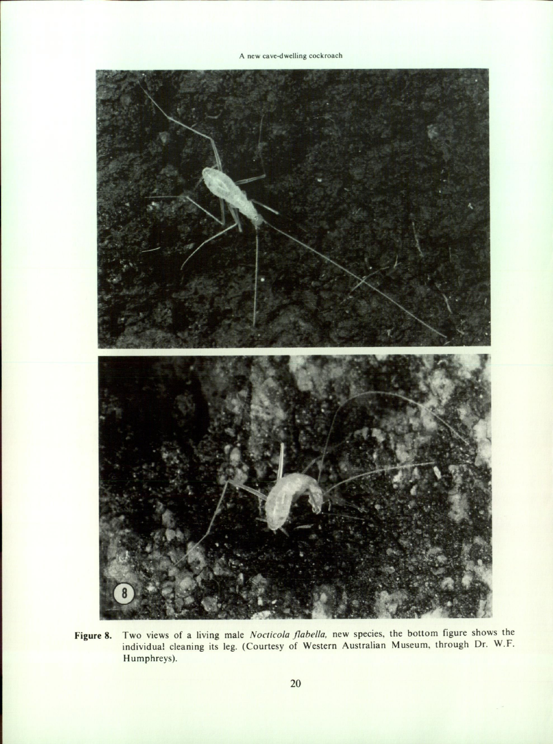**A new cave-dwelling cockroach**



**Figure** 8. Two views of a living male *Nocticola flabella.* new species, the bottom figure shows the individual cleaning its leg. (Courtesy of Western Australian Museum, through Dr. W.F. Humphreys).